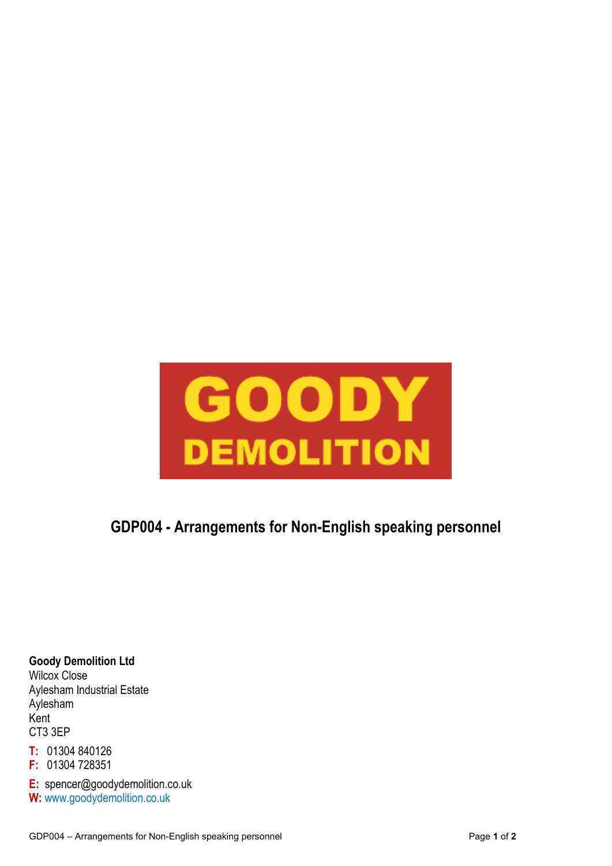

# **GDP004 - Arrangements for Non-English speaking personnel**

**Goody Demolition Ltd**  Wilcox Close Aylesham Industrial Estate Aylesham Kent CT3 3EP

**T:** 01304 840126

**F:** 01304 728351

**E:** spencer@goodydemolition.co.uk **W:** www.goodydemolition.co.uk